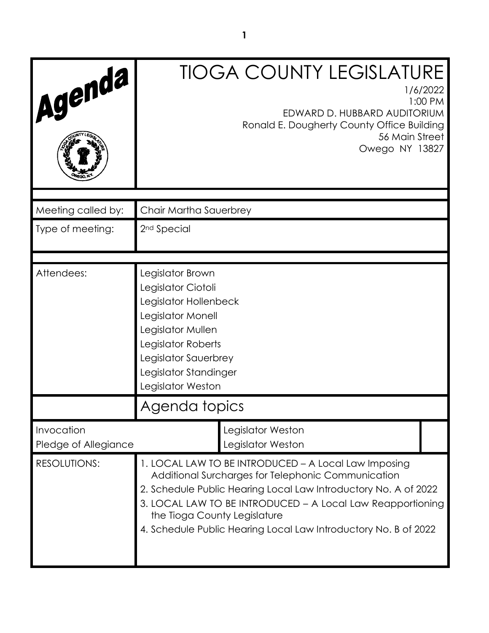| Agenda                             |                                                                                                                                                                                                                                                                                                                                                | <b>TIOGA COUNTY LEGISLATURE</b><br>EDWARD D. HUBBARD AUDITORIUM<br>Ronald E. Dougherty County Office Building<br>56 Main Street<br>Owego NY 13827 | 1/6/2022<br>1:00 PM |
|------------------------------------|------------------------------------------------------------------------------------------------------------------------------------------------------------------------------------------------------------------------------------------------------------------------------------------------------------------------------------------------|---------------------------------------------------------------------------------------------------------------------------------------------------|---------------------|
| Meeting called by:                 | Chair Martha Sauerbrey                                                                                                                                                                                                                                                                                                                         |                                                                                                                                                   |                     |
| Type of meeting:                   | 2 <sup>nd</sup> Special                                                                                                                                                                                                                                                                                                                        |                                                                                                                                                   |                     |
| Attendees:                         | Legislator Brown<br>Legislator Ciotoli<br>Legislator Hollenbeck<br>Legislator Monell<br>Legislator Mullen<br>Legislator Roberts<br>Legislator Sauerbrey<br>Legislator Standinger<br>Legislator Weston                                                                                                                                          |                                                                                                                                                   |                     |
|                                    | Agenda topics                                                                                                                                                                                                                                                                                                                                  |                                                                                                                                                   |                     |
| Invocation<br>Pledge of Allegiance |                                                                                                                                                                                                                                                                                                                                                | Legislator Weston<br>Legislator Weston                                                                                                            |                     |
| <b>RESOLUTIONS:</b>                | 1. LOCAL LAW TO BE INTRODUCED - A Local Law Imposing<br>Additional Surcharges for Telephonic Communication<br>2. Schedule Public Hearing Local Law Introductory No. A of 2022<br>3. LOCAL LAW TO BE INTRODUCED - A Local Law Reapportioning<br>the Tioga County Legislature<br>4. Schedule Public Hearing Local Law Introductory No. B of 2022 |                                                                                                                                                   |                     |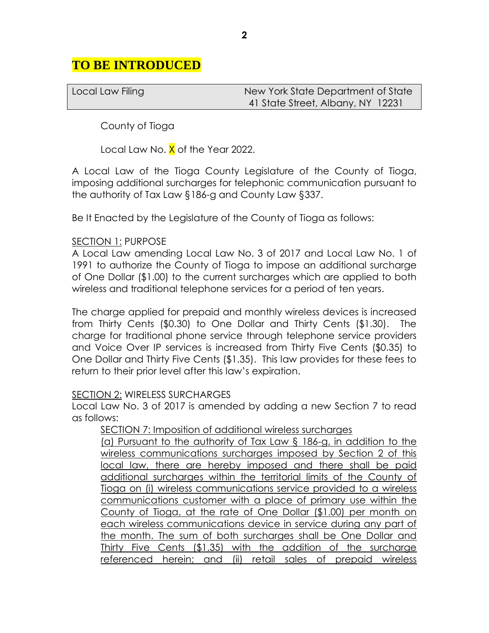## **TO BE INTRODUCED**

| Local Law Filing | New York State Department of State |
|------------------|------------------------------------|
|                  | 41 State Street, Albany, NY 12231  |

County of Tioga

Local Law No. X of the Year 2022.

A Local Law of the Tioga County Legislature of the County of Tioga, imposing additional surcharges for telephonic communication pursuant to the authority of Tax Law §186-g and County Law §337.

Be It Enacted by the Legislature of the County of Tioga as follows:

#### SECTION 1: PURPOSE

A Local Law amending Local Law No. 3 of 2017 and Local Law No. 1 of 1991 to authorize the County of Tioga to impose an additional surcharge of One Dollar (\$1.00) to the current surcharges which are applied to both wireless and traditional telephone services for a period of ten years.

The charge applied for prepaid and monthly wireless devices is increased from Thirty Cents (\$0.30) to One Dollar and Thirty Cents (\$1.30). The charge for traditional phone service through telephone service providers and Voice Over IP services is increased from Thirty Five Cents (\$0.35) to One Dollar and Thirty Five Cents (\$1.35). This law provides for these fees to return to their prior level after this law's expiration.

#### SECTION 2: WIRELESS SURCHARGES

Local Law No. 3 of 2017 is amended by adding a new Section 7 to read as follows:

SECTION 7: Imposition of additional wireless surcharges (a) Pursuant to the authority of Tax Law § 186-g, in addition to the wireless communications surcharges imposed by Section 2 of this local law, there are hereby imposed and there shall be paid additional surcharges within the territorial limits of the County of Tioga on (i) wireless communications service provided to a wireless communications customer with a place of primary use within the County of Tioga, at the rate of One Dollar (\$1.00) per month on each wireless communications device in service during any part of the month. The sum of both surcharges shall be One Dollar and Thirty Five Cents (\$1.35) with the addition of the surcharge referenced herein; and (ii) retail sales of prepaid wireless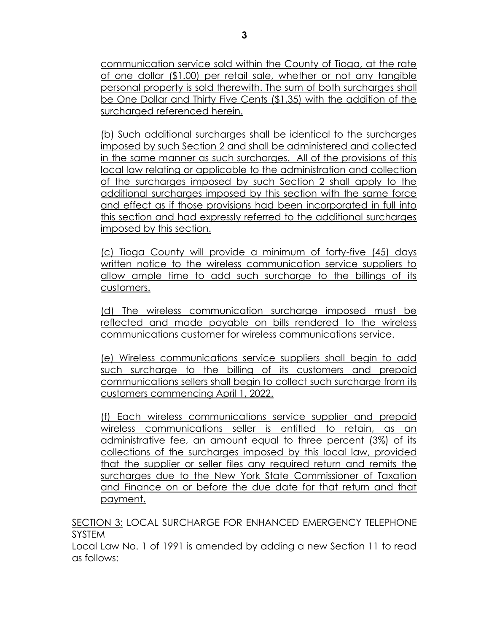communication service sold within the County of Tioga, at the rate of one dollar (\$1.00) per retail sale, whether or not any tangible personal property is sold therewith. The sum of both surcharges shall be One Dollar and Thirty Five Cents (\$1.35) with the addition of the surcharged referenced herein.

(b) Such additional surcharges shall be identical to the surcharges imposed by such Section 2 and shall be administered and collected in the same manner as such surcharges. All of the provisions of this local law relating or applicable to the administration and collection of the surcharges imposed by such Section 2 shall apply to the additional surcharges imposed by this section with the same force and effect as if those provisions had been incorporated in full into this section and had expressly referred to the additional surcharges imposed by this section.

(c) Tioga County will provide a minimum of forty-five (45) days written notice to the wireless communication service suppliers to allow ample time to add such surcharge to the billings of its customers.

(d) The wireless communication surcharge imposed must be reflected and made payable on bills rendered to the wireless communications customer for wireless communications service.

(e) Wireless communications service suppliers shall begin to add such surcharge to the billing of its customers and prepaid communications sellers shall begin to collect such surcharge from its customers commencing April 1, 2022.

(f) Each wireless communications service supplier and prepaid wireless communications seller is entitled to retain, as an administrative fee, an amount equal to three percent (3%) of its collections of the surcharges imposed by this local law, provided that the supplier or seller files any required return and remits the surcharges due to the New York State Commissioner of Taxation and Finance on or before the due date for that return and that payment.

SECTION 3: LOCAL SURCHARGE FOR ENHANCED EMERGENCY TELEPHONE SYSTEM

Local Law No. 1 of 1991 is amended by adding a new Section 11 to read as follows: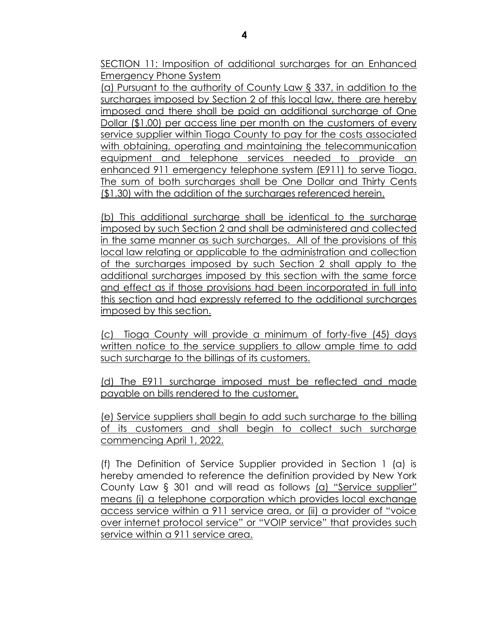SECTION 11: Imposition of additional surcharges for an Enhanced Emergency Phone System

(a) Pursuant to the authority of County Law § 337, in addition to the surcharges imposed by Section 2 of this local law, there are hereby imposed and there shall be paid an additional surcharge of One Dollar (\$1.00) per access line per month on the customers of every service supplier within Tioga County to pay for the costs associated with obtaining, operating and maintaining the telecommunication equipment and telephone services needed to provide an enhanced 911 emergency telephone system (E911) to serve Tioga. The sum of both surcharges shall be One Dollar and Thirty Cents (\$1.30) with the addition of the surcharges referenced herein.

(b) This additional surcharge shall be identical to the surcharge imposed by such Section 2 and shall be administered and collected in the same manner as such surcharges. All of the provisions of this local law relating or applicable to the administration and collection of the surcharges imposed by such Section 2 shall apply to the additional surcharges imposed by this section with the same force and effect as if those provisions had been incorporated in full into this section and had expressly referred to the additional surcharges imposed by this section.

(c) Tioga County will provide a minimum of forty-five (45) days written notice to the service suppliers to allow ample time to add such surcharge to the billings of its customers.

(d) The E911 surcharge imposed must be reflected and made payable on bills rendered to the customer.

(e) Service suppliers shall begin to add such surcharge to the billing of its customers and shall begin to collect such surcharge commencing April 1, 2022.

(f) The Definition of Service Supplier provided in Section 1 (a) is hereby amended to reference the definition provided by New York County Law § 301 and will read as follows (a) "Service supplier" means (i) a telephone corporation which provides local exchange access service within a 911 service area, or (ii) a provider of "voice over internet protocol service" or "VOIP service" that provides such service within a 911 service area.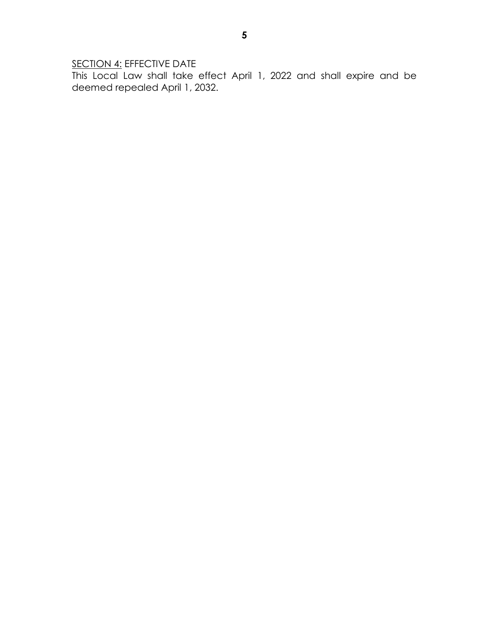SECTION 4: EFFECTIVE DATE

This Local Law shall take effect April 1, 2022 and shall expire and be deemed repealed April 1, 2032.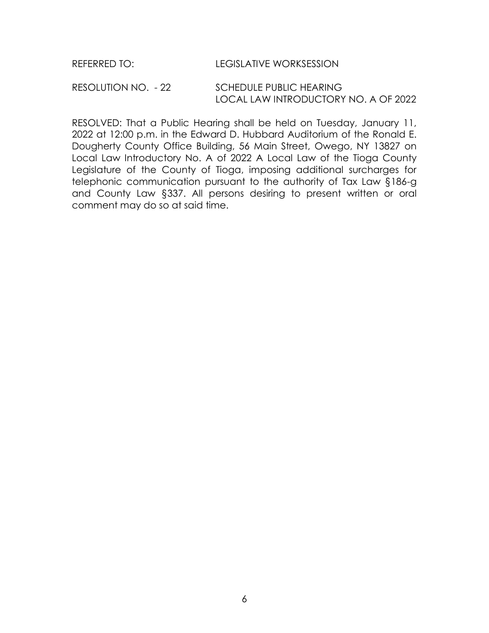REFERRED TO: LEGISLATIVE WORKSESSION

RESOLUTION NO. - 22 SCHEDULE PUBLIC HEARING LOCAL LAW INTRODUCTORY NO. A OF 2022

RESOLVED: That a Public Hearing shall be held on Tuesday, January 11, 2022 at 12:00 p.m. in the Edward D. Hubbard Auditorium of the Ronald E. Dougherty County Office Building, 56 Main Street, Owego, NY 13827 on Local Law Introductory No. A of 2022 A Local Law of the Tioga County Legislature of the County of Tioga, imposing additional surcharges for telephonic communication pursuant to the authority of Tax Law §186-g and County Law §337. All persons desiring to present written or oral comment may do so at said time.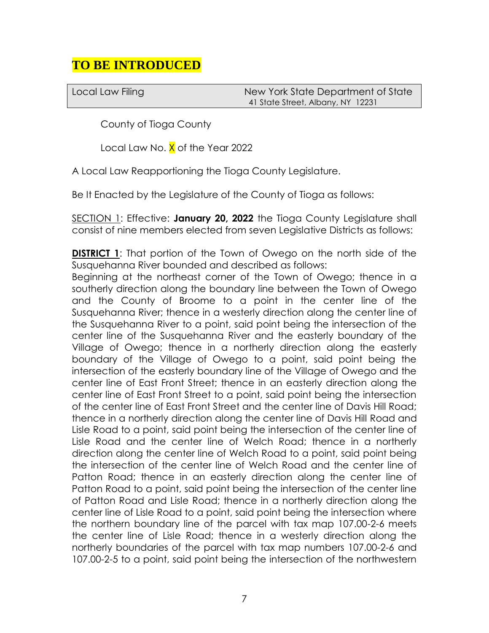# **TO BE INTRODUCED**

Local Law Filing New York State Department of State 41 State Street, Albany, NY 12231

County of Tioga County

Local Law No. X of the Year 2022

A Local Law Reapportioning the Tioga County Legislature.

Be It Enacted by the Legislature of the County of Tioga as follows:

SECTION 1: Effective: **January 20, 2022** the Tioga County Legislature shall consist of nine members elected from seven Legislative Districts as follows:

**DISTRICT 1:** That portion of the Town of Owego on the north side of the Susquehanna River bounded and described as follows:

Beginning at the northeast corner of the Town of Owego; thence in a southerly direction along the boundary line between the Town of Owego and the County of Broome to a point in the center line of the Susquehanna River; thence in a westerly direction along the center line of the Susquehanna River to a point, said point being the intersection of the center line of the Susquehanna River and the easterly boundary of the Village of Owego; thence in a northerly direction along the easterly boundary of the Village of Owego to a point, said point being the intersection of the easterly boundary line of the Village of Owego and the center line of East Front Street; thence in an easterly direction along the center line of East Front Street to a point, said point being the intersection of the center line of East Front Street and the center line of Davis Hill Road; thence in a northerly direction along the center line of Davis Hill Road and Lisle Road to a point, said point being the intersection of the center line of Lisle Road and the center line of Welch Road; thence in a northerly direction along the center line of Welch Road to a point, said point being the intersection of the center line of Welch Road and the center line of Patton Road; thence in an easterly direction along the center line of Patton Road to a point, said point being the intersection of the center line of Patton Road and Lisle Road; thence in a northerly direction along the center line of Lisle Road to a point, said point being the intersection where the northern boundary line of the parcel with tax map 107.00-2-6 meets the center line of Lisle Road; thence in a westerly direction along the northerly boundaries of the parcel with tax map numbers 107.00-2-6 and 107.00-2-5 to a point, said point being the intersection of the northwestern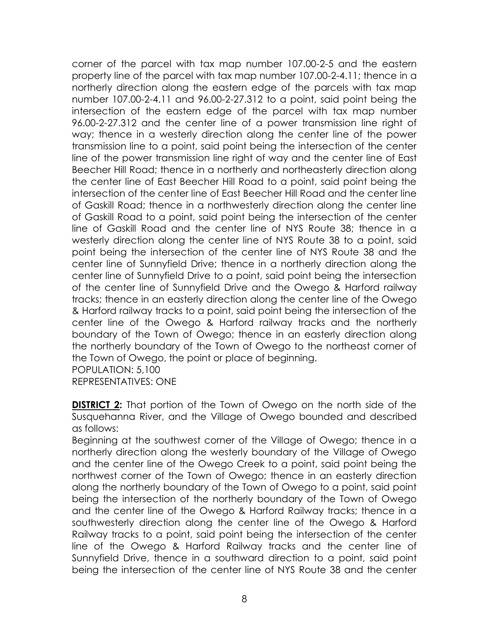corner of the parcel with tax map number 107.00-2-5 and the eastern property line of the parcel with tax map number 107.00-2-4.11; thence in a northerly direction along the eastern edge of the parcels with tax map number 107.00-2-4.11 and 96.00-2-27.312 to a point, said point being the intersection of the eastern edge of the parcel with tax map number 96.00-2-27.312 and the center line of a power transmission line right of way; thence in a westerly direction along the center line of the power transmission line to a point, said point being the intersection of the center line of the power transmission line right of way and the center line of East Beecher Hill Road; thence in a northerly and northeasterly direction along the center line of East Beecher Hill Road to a point, said point being the intersection of the center line of East Beecher Hill Road and the center line of Gaskill Road; thence in a northwesterly direction along the center line of Gaskill Road to a point, said point being the intersection of the center line of Gaskill Road and the center line of NYS Route 38; thence in a westerly direction along the center line of NYS Route 38 to a point, said point being the intersection of the center line of NYS Route 38 and the center line of Sunnyfield Drive; thence in a northerly direction along the center line of Sunnyfield Drive to a point, said point being the intersection of the center line of Sunnyfield Drive and the Owego & Harford railway tracks; thence in an easterly direction along the center line of the Owego & Harford railway tracks to a point, said point being the intersection of the center line of the Owego & Harford railway tracks and the northerly boundary of the Town of Owego; thence in an easterly direction along the northerly boundary of the Town of Owego to the northeast corner of the Town of Owego, the point or place of beginning. POPULATION: 5,100

REPRESENTATIVES: ONE

**DISTRICT 2:** That portion of the Town of Owego on the north side of the Susquehanna River, and the Village of Owego bounded and described as follows:

Beginning at the southwest corner of the Village of Owego; thence in a northerly direction along the westerly boundary of the Village of Owego and the center line of the Owego Creek to a point, said point being the northwest corner of the Town of Owego; thence in an easterly direction along the northerly boundary of the Town of Owego to a point, said point being the intersection of the northerly boundary of the Town of Owego and the center line of the Owego & Harford Railway tracks; thence in a southwesterly direction along the center line of the Owego & Harford Railway tracks to a point, said point being the intersection of the center line of the Owego & Harford Railway tracks and the center line of Sunnyfield Drive, thence in a southward direction to a point, said point being the intersection of the center line of NYS Route 38 and the center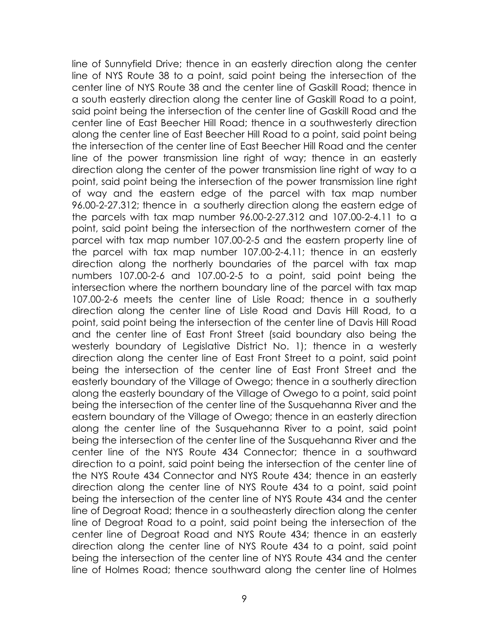line of Sunnyfield Drive; thence in an easterly direction along the center line of NYS Route 38 to a point, said point being the intersection of the center line of NYS Route 38 and the center line of Gaskill Road; thence in a south easterly direction along the center line of Gaskill Road to a point, said point being the intersection of the center line of Gaskill Road and the center line of East Beecher Hill Road; thence in a southwesterly direction along the center line of East Beecher Hill Road to a point, said point being the intersection of the center line of East Beecher Hill Road and the center line of the power transmission line right of way; thence in an easterly direction along the center of the power transmission line right of way to a point, said point being the intersection of the power transmission line right of way and the eastern edge of the parcel with tax map number 96.00-2-27.312; thence in a southerly direction along the eastern edge of the parcels with tax map number 96.00-2-27.312 and 107.00-2-4.11 to a point, said point being the intersection of the northwestern corner of the parcel with tax map number 107.00-2-5 and the eastern property line of the parcel with tax map number 107.00-2-4.11; thence in an easterly direction along the northerly boundaries of the parcel with tax map numbers 107.00-2-6 and 107.00-2-5 to a point, said point being the intersection where the northern boundary line of the parcel with tax map 107.00-2-6 meets the center line of Lisle Road; thence in a southerly direction along the center line of Lisle Road and Davis Hill Road, to a point, said point being the intersection of the center line of Davis Hill Road and the center line of East Front Street (said boundary also being the westerly boundary of Legislative District No. 1); thence in a westerly direction along the center line of East Front Street to a point, said point being the intersection of the center line of East Front Street and the easterly boundary of the Village of Owego; thence in a southerly direction along the easterly boundary of the Village of Owego to a point, said point being the intersection of the center line of the Susquehanna River and the eastern boundary of the Village of Owego; thence in an easterly direction along the center line of the Susquehanna River to a point, said point being the intersection of the center line of the Susquehanna River and the center line of the NYS Route 434 Connector; thence in a southward direction to a point, said point being the intersection of the center line of the NYS Route 434 Connector and NYS Route 434; thence in an easterly direction along the center line of NYS Route 434 to a point, said point being the intersection of the center line of NYS Route 434 and the center line of Degroat Road; thence in a southeasterly direction along the center line of Degroat Road to a point, said point being the intersection of the center line of Degroat Road and NYS Route 434; thence in an easterly direction along the center line of NYS Route 434 to a point, said point being the intersection of the center line of NYS Route 434 and the center line of Holmes Road; thence southward along the center line of Holmes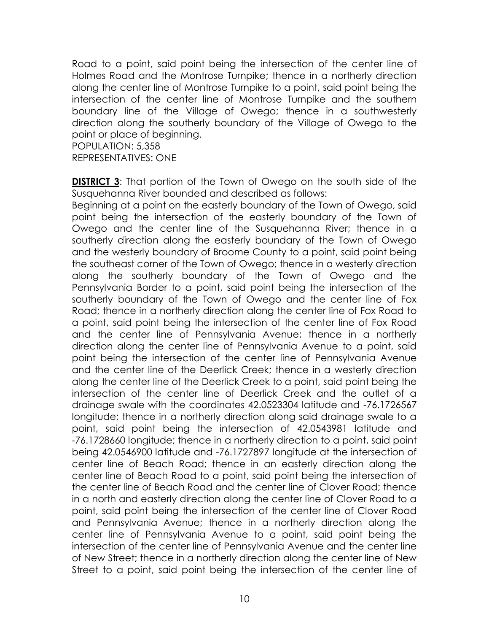Road to a point, said point being the intersection of the center line of Holmes Road and the Montrose Turnpike; thence in a northerly direction along the center line of Montrose Turnpike to a point, said point being the intersection of the center line of Montrose Turnpike and the southern boundary line of the Village of Owego; thence in a southwesterly direction along the southerly boundary of the Village of Owego to the point or place of beginning.

POPULATION: 5,358 REPRESENTATIVES: ONE

**DISTRICT 3:** That portion of the Town of Owego on the south side of the Susquehanna River bounded and described as follows:

Beginning at a point on the easterly boundary of the Town of Owego, said point being the intersection of the easterly boundary of the Town of Owego and the center line of the Susquehanna River; thence in a southerly direction along the easterly boundary of the Town of Owego and the westerly boundary of Broome County to a point, said point being the southeast corner of the Town of Owego; thence in a westerly direction along the southerly boundary of the Town of Owego and the Pennsylvania Border to a point, said point being the intersection of the southerly boundary of the Town of Owego and the center line of Fox Road; thence in a northerly direction along the center line of Fox Road to a point, said point being the intersection of the center line of Fox Road and the center line of Pennsylvania Avenue; thence in a northerly direction along the center line of Pennsylvania Avenue to a point, said point being the intersection of the center line of Pennsylvania Avenue and the center line of the Deerlick Creek; thence in a westerly direction along the center line of the Deerlick Creek to a point, said point being the intersection of the center line of Deerlick Creek and the outlet of a drainage swale with the coordinates 42.0523304 latitude and -76.1726567 longitude; thence in a northerly direction along said drainage swale to a point, said point being the intersection of 42.0543981 latitude and -76.1728660 longitude; thence in a northerly direction to a point, said point being 42.0546900 latitude and -76.1727897 longitude at the intersection of center line of Beach Road; thence in an easterly direction along the center line of Beach Road to a point, said point being the intersection of the center line of Beach Road and the center line of Clover Road; thence in a north and easterly direction along the center line of Clover Road to a point, said point being the intersection of the center line of Clover Road and Pennsylvania Avenue; thence in a northerly direction along the center line of Pennsylvania Avenue to a point, said point being the intersection of the center line of Pennsylvania Avenue and the center line of New Street; thence in a northerly direction along the center line of New Street to a point, said point being the intersection of the center line of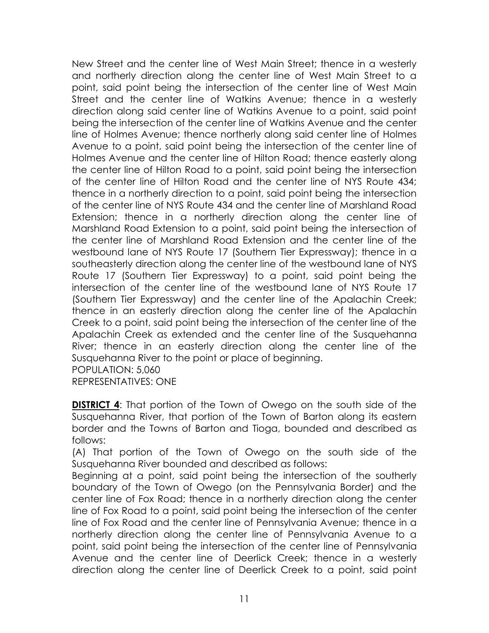New Street and the center line of West Main Street; thence in a westerly and northerly direction along the center line of West Main Street to a point, said point being the intersection of the center line of West Main Street and the center line of Watkins Avenue; thence in a westerly direction along said center line of Watkins Avenue to a point, said point being the intersection of the center line of Watkins Avenue and the center line of Holmes Avenue; thence northerly along said center line of Holmes Avenue to a point, said point being the intersection of the center line of Holmes Avenue and the center line of Hilton Road; thence easterly along the center line of Hilton Road to a point, said point being the intersection of the center line of Hilton Road and the center line of NYS Route 434; thence in a northerly direction to a point, said point being the intersection of the center line of NYS Route 434 and the center line of Marshland Road Extension; thence in a northerly direction along the center line of Marshland Road Extension to a point, said point being the intersection of the center line of Marshland Road Extension and the center line of the westbound lane of NYS Route 17 (Southern Tier Expressway); thence in a southeasterly direction along the center line of the westbound lane of NYS Route 17 (Southern Tier Expressway) to a point, said point being the intersection of the center line of the westbound lane of NYS Route 17 (Southern Tier Expressway) and the center line of the Apalachin Creek; thence in an easterly direction along the center line of the Apalachin Creek to a point, said point being the intersection of the center line of the Apalachin Creek as extended and the center line of the Susquehanna River; thence in an easterly direction along the center line of the Susquehanna River to the point or place of beginning.

POPULATION: 5,060

REPRESENTATIVES: ONE

**DISTRICT 4:** That portion of the Town of Owego on the south side of the Susquehanna River, that portion of the Town of Barton along its eastern border and the Towns of Barton and Tioga, bounded and described as follows:

(A) That portion of the Town of Owego on the south side of the Susquehanna River bounded and described as follows:

Beginning at a point, said point being the intersection of the southerly boundary of the Town of Owego (on the Pennsylvania Border) and the center line of Fox Road; thence in a northerly direction along the center line of Fox Road to a point, said point being the intersection of the center line of Fox Road and the center line of Pennsylvania Avenue; thence in a northerly direction along the center line of Pennsylvania Avenue to a point, said point being the intersection of the center line of Pennsylvania Avenue and the center line of Deerlick Creek; thence in a westerly direction along the center line of Deerlick Creek to a point, said point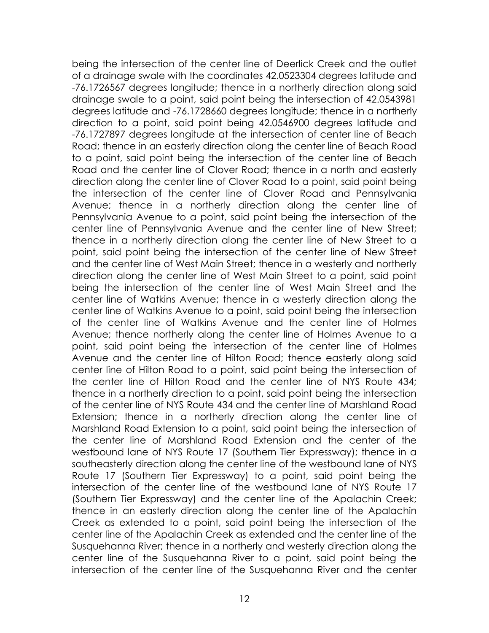being the intersection of the center line of Deerlick Creek and the outlet of a drainage swale with the coordinates 42.0523304 degrees latitude and -76.1726567 degrees longitude; thence in a northerly direction along said drainage swale to a point, said point being the intersection of 42.0543981 degrees latitude and -76.1728660 degrees longitude; thence in a northerly direction to a point, said point being 42.0546900 degrees latitude and -76.1727897 degrees longitude at the intersection of center line of Beach Road; thence in an easterly direction along the center line of Beach Road to a point, said point being the intersection of the center line of Beach Road and the center line of Clover Road; thence in a north and easterly direction along the center line of Clover Road to a point, said point being the intersection of the center line of Clover Road and Pennsylvania Avenue; thence in a northerly direction along the center line of Pennsylvania Avenue to a point, said point being the intersection of the center line of Pennsylvania Avenue and the center line of New Street; thence in a northerly direction along the center line of New Street to a point, said point being the intersection of the center line of New Street and the center line of West Main Street; thence in a westerly and northerly direction along the center line of West Main Street to a point, said point being the intersection of the center line of West Main Street and the center line of Watkins Avenue; thence in a westerly direction along the center line of Watkins Avenue to a point, said point being the intersection of the center line of Watkins Avenue and the center line of Holmes Avenue; thence northerly along the center line of Holmes Avenue to a point, said point being the intersection of the center line of Holmes Avenue and the center line of Hilton Road; thence easterly along said center line of Hilton Road to a point, said point being the intersection of the center line of Hilton Road and the center line of NYS Route 434; thence in a northerly direction to a point, said point being the intersection of the center line of NYS Route 434 and the center line of Marshland Road Extension; thence in a northerly direction along the center line of Marshland Road Extension to a point, said point being the intersection of the center line of Marshland Road Extension and the center of the westbound lane of NYS Route 17 (Southern Tier Expressway); thence in a southeasterly direction along the center line of the westbound lane of NYS Route 17 (Southern Tier Expressway) to a point, said point being the intersection of the center line of the westbound lane of NYS Route 17 (Southern Tier Expressway) and the center line of the Apalachin Creek; thence in an easterly direction along the center line of the Apalachin Creek as extended to a point, said point being the intersection of the center line of the Apalachin Creek as extended and the center line of the Susquehanna River; thence in a northerly and westerly direction along the center line of the Susquehanna River to a point, said point being the intersection of the center line of the Susquehanna River and the center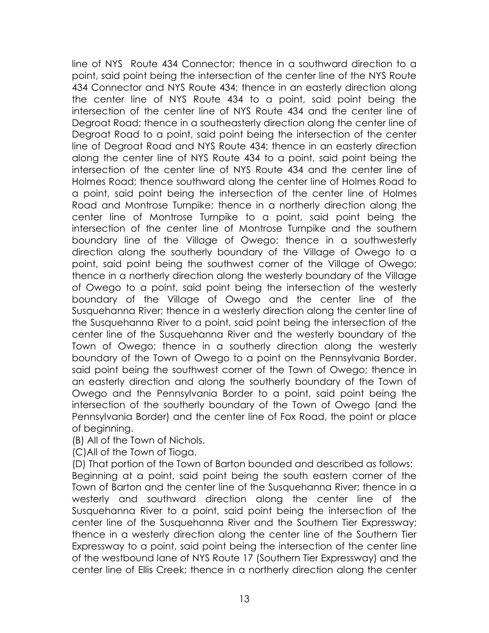line of NYS Route 434 Connector; thence in a southward direction to a point, said point being the intersection of the center line of the NYS Route 434 Connector and NYS Route 434; thence in an easterly direction along the center line of NYS Route 434 to a point, said point being the intersection of the center line of NYS Route 434 and the center line of Degroat Road; thence in a southeasterly direction along the center line of Degroat Road to a point, said point being the intersection of the center line of Degroat Road and NYS Route 434; thence in an easterly direction along the center line of NYS Route 434 to a point, said point being the intersection of the center line of NYS Route 434 and the center line of Holmes Road; thence southward along the center line of Holmes Road to a point, said point being the intersection of the center line of Holmes Road and Montrose Turnpike; thence in a northerly direction along the center line of Montrose Turnpike to a point, said point being the intersection of the center line of Montrose Turnpike and the southern boundary line of the Village of Owego; thence in a southwesterly direction along the southerly boundary of the Village of Owego to a point, said point being the southwest corner of the Village of Owego; thence in a northerly direction along the westerly boundary of the Village of Owego to a point, said point being the intersection of the westerly boundary of the Village of Owego and the center line of the Susquehanna River; thence in a westerly direction along the center line of the Susquehanna River to a point, said point being the intersection of the center line of the Susquehanna River and the westerly boundary of the Town of Owego; thence in a southerly direction along the westerly boundary of the Town of Owego to a point on the Pennsylvania Border, said point being the southwest corner of the Town of Owego; thence in an easterly direction and along the southerly boundary of the Town of Owego and the Pennsylvania Border to a point, said point being the intersection of the southerly boundary of the Town of Owego (and the Pennsylvania Border) and the center line of Fox Road, the point or place of beginning.

(B) All of the Town of Nichols.

(C)All of the Town of Tioga.

(D) That portion of the Town of Barton bounded and described as follows: Beginning at a point, said point being the south eastern corner of the Town of Barton and the center line of the Susquehanna River; thence in a westerly and southward direction along the center line of the Susquehanna River to a point, said point being the intersection of the center line of the Susquehanna River and the Southern Tier Expressway; thence in a westerly direction along the center line of the Southern Tier Expressway to a point, said point being the intersection of the center line of the westbound lane of NYS Route 17 (Southern Tier Expressway) and the center line of Ellis Creek; thence in a northerly direction along the center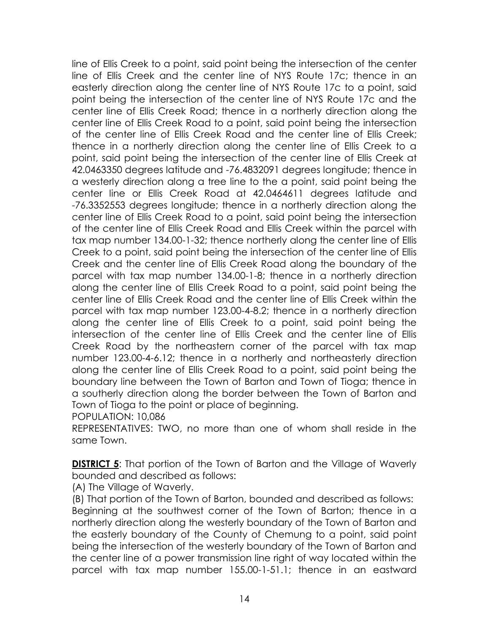line of Ellis Creek to a point, said point being the intersection of the center line of Ellis Creek and the center line of NYS Route 17c; thence in an easterly direction along the center line of NYS Route 17c to a point, said point being the intersection of the center line of NYS Route 17c and the center line of Ellis Creek Road; thence in a northerly direction along the center line of Ellis Creek Road to a point, said point being the intersection of the center line of Ellis Creek Road and the center line of Ellis Creek; thence in a northerly direction along the center line of Ellis Creek to a point, said point being the intersection of the center line of Ellis Creek at 42.0463350 degrees latitude and -76.4832091 degrees longitude; thence in a westerly direction along a tree line to the a point, said point being the center line or Ellis Creek Road at 42.0464611 degrees latitude and -76.3352553 degrees longitude; thence in a northerly direction along the center line of Ellis Creek Road to a point, said point being the intersection of the center line of Ellis Creek Road and Ellis Creek within the parcel with tax map number 134.00-1-32; thence northerly along the center line of Ellis Creek to a point, said point being the intersection of the center line of Ellis Creek and the center line of Ellis Creek Road along the boundary of the parcel with tax map number 134.00-1-8; thence in a northerly direction along the center line of Ellis Creek Road to a point, said point being the center line of Ellis Creek Road and the center line of Ellis Creek within the parcel with tax map number 123.00-4-8.2; thence in a northerly direction along the center line of Ellis Creek to a point, said point being the intersection of the center line of Ellis Creek and the center line of Ellis Creek Road by the northeastern corner of the parcel with tax map number 123.00-4-6.12; thence in a northerly and northeasterly direction along the center line of Ellis Creek Road to a point, said point being the boundary line between the Town of Barton and Town of Tioga; thence in a southerly direction along the border between the Town of Barton and Town of Tioga to the point or place of beginning.

POPULATION: 10,086

REPRESENTATIVES: TWO, no more than one of whom shall reside in the same Town.

**DISTRICT 5:** That portion of the Town of Barton and the Village of Waverly bounded and described as follows:

(A) The Village of Waverly.

(B) That portion of the Town of Barton, bounded and described as follows: Beginning at the southwest corner of the Town of Barton; thence in a northerly direction along the westerly boundary of the Town of Barton and the easterly boundary of the County of Chemung to a point, said point being the intersection of the westerly boundary of the Town of Barton and the center line of a power transmission line right of way located within the parcel with tax map number 155.00-1-51.1; thence in an eastward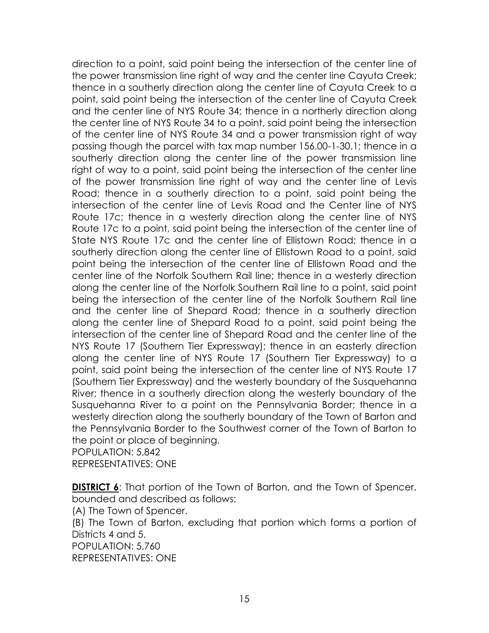direction to a point, said point being the intersection of the center line of the power transmission line right of way and the center line Cayuta Creek; thence in a southerly direction along the center line of Cayuta Creek to a point, said point being the intersection of the center line of Cayuta Creek and the center line of NYS Route 34; thence in a northerly direction along the center line of NYS Route 34 to a point, said point being the intersection of the center line of NYS Route 34 and a power transmission right of way passing though the parcel with tax map number 156.00-1-30.1; thence in a southerly direction along the center line of the power transmission line right of way to a point, said point being the intersection of the center line of the power transmission line right of way and the center line of Levis Road; thence in a southerly direction to a point, said point being the intersection of the center line of Levis Road and the Center line of NYS Route 17c; thence in a westerly direction along the center line of NYS Route 17c to a point, said point being the intersection of the center line of State NYS Route 17c and the center line of Ellistown Road; thence in a southerly direction along the center line of Ellistown Road to a point, said point being the intersection of the center line of Ellistown Road and the center line of the Norfolk Southern Rail line; thence in a westerly direction along the center line of the Norfolk Southern Rail line to a point, said point being the intersection of the center line of the Norfolk Southern Rail line and the center line of Shepard Road; thence in a southerly direction along the center line of Shepard Road to a point, said point being the intersection of the center line of Shepard Road and the center line of the NYS Route 17 (Southern Tier Expressway); thence in an easterly direction along the center line of NYS Route 17 (Southern Tier Expressway) to a point, said point being the intersection of the center line of NYS Route 17 (Southern Tier Expressway) and the westerly boundary of the Susquehanna River; thence in a southerly direction along the westerly boundary of the Susquehanna River to a point on the Pennsylvania Border; thence in a westerly direction along the southerly boundary of the Town of Barton and the Pennsylvania Border to the Southwest corner of the Town of Barton to the point or place of beginning.

POPULATION: 5,842 REPRESENTATIVES: ONE

**DISTRICT 6:** That portion of the Town of Barton, and the Town of Spencer, bounded and described as follows:

(A) The Town of Spencer.

(B) The Town of Barton, excluding that portion which forms a portion of Districts 4 and 5.

POPULATION: 5,760 REPRESENTATIVES: ONE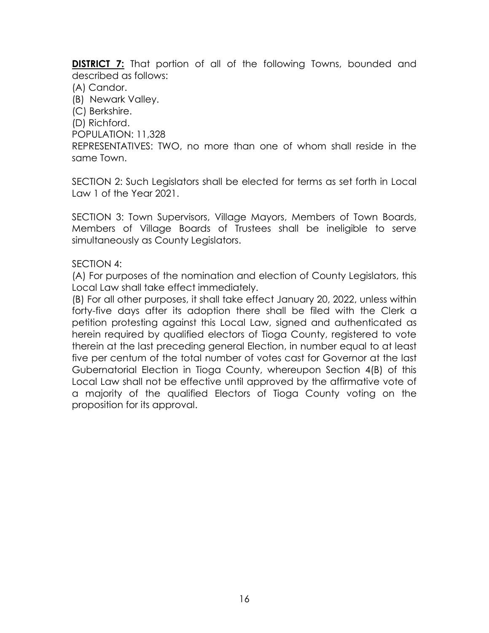**DISTRICT 7:** That portion of all of the following Towns, bounded and described as follows:

(A) Candor.

(B) Newark Valley.

(C) Berkshire.

(D) Richford.

POPULATION: 11,328

REPRESENTATIVES: TWO, no more than one of whom shall reside in the same Town.

SECTION 2: Such Legislators shall be elected for terms as set forth in Local Law 1 of the Year 2021.

SECTION 3: Town Supervisors, Village Mayors, Members of Town Boards, Members of Village Boards of Trustees shall be ineligible to serve simultaneously as County Legislators.

### SECTION 4:

(A) For purposes of the nomination and election of County Legislators, this Local Law shall take effect immediately.

(B) For all other purposes, it shall take effect January 20, 2022, unless within forty-five days after its adoption there shall be filed with the Clerk a petition protesting against this Local Law, signed and authenticated as herein required by qualified electors of Tioga County, registered to vote therein at the last preceding general Election, in number equal to at least five per centum of the total number of votes cast for Governor at the last Gubernatorial Election in Tioga County, whereupon Section 4(B) of this Local Law shall not be effective until approved by the affirmative vote of a majority of the qualified Electors of Tioga County voting on the proposition for its approval.